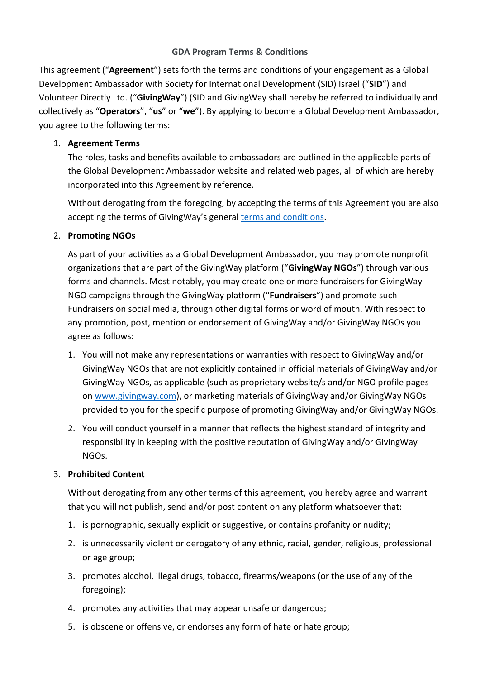## **GDA Program Terms & Conditions**

This agreement ("**Agreement**") sets forth the terms and conditions of your engagement as a Global Development Ambassador with Society for International Development (SID) Israel ("**SID**") and Volunteer Directly Ltd. ("**GivingWay**") (SID and GivingWay shall hereby be referred to individually and collectively as "**Operators**", "**us**" or "**we**"). By applying to become a Global Development Ambassador, you agree to the following terms:

## 1. **Agreement Terms**

The roles, tasks and benefits available to ambassadors are outlined in the applicable parts of the Global Development Ambassador website and related web pages, all of which are hereby incorporated into this Agreement by reference.

Without derogating from the foregoing, by accepting the terms of this Agreement you are also accepting the terms of GivingWay's general [terms and conditions.](https://www.givingway.com/terms.give)

# 2. **Promoting NGOs**

As part of your activities as a Global Development Ambassador, you may promote nonprofit organizations that are part of the GivingWay platform ("**GivingWay NGOs**") through various forms and channels. Most notably, you may create one or more fundraisers for GivingWay NGO campaigns through the GivingWay platform ("**Fundraisers**") and promote such Fundraisers on social media, through other digital forms or word of mouth. With respect to any promotion, post, mention or endorsement of GivingWay and/or GivingWay NGOs you agree as follows:

- 1. You will not make any representations or warranties with respect to GivingWay and/or GivingWay NGOs that are not explicitly contained in official materials of GivingWay and/or GivingWay NGOs, as applicable (such as proprietary website/s and/or NGO profile pages on [www.givingway.com\)](http://www.givingway.com/), or marketing materials of GivingWay and/or GivingWay NGOs provided to you for the specific purpose of promoting GivingWay and/or GivingWay NGOs.
- 2. You will conduct yourself in a manner that reflects the highest standard of integrity and responsibility in keeping with the positive reputation of GivingWay and/or GivingWay NGOs.

# 3. **Prohibited Content**

Without derogating from any other terms of this agreement, you hereby agree and warrant that you will not publish, send and/or post content on any platform whatsoever that:

- 1. is pornographic, sexually explicit or suggestive, or contains profanity or nudity;
- 2. is unnecessarily violent or derogatory of any ethnic, racial, gender, religious, professional or age group;
- 3. promotes alcohol, illegal drugs, tobacco, firearms/weapons (or the use of any of the foregoing);
- 4. promotes any activities that may appear unsafe or dangerous;
- 5. is obscene or offensive, or endorses any form of hate or hate group;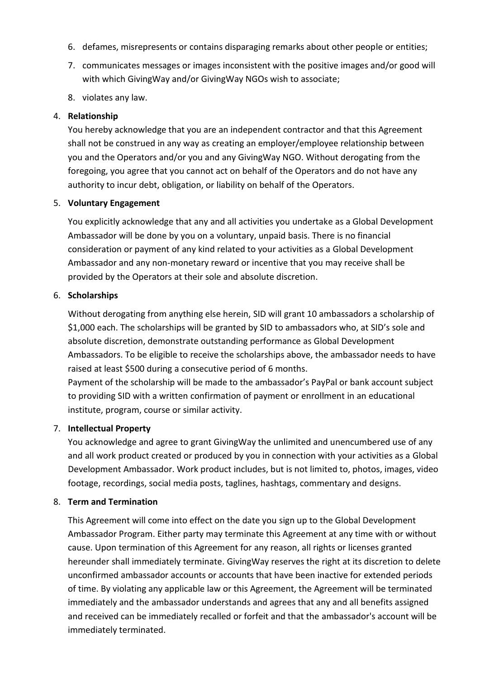- 6. defames, misrepresents or contains disparaging remarks about other people or entities;
- 7. communicates messages or images inconsistent with the positive images and/or good will with which GivingWay and/or GivingWay NGOs wish to associate;
- 8. violates any law.

## 4. **Relationship**

You hereby acknowledge that you are an independent contractor and that this Agreement shall not be construed in any way as creating an employer/employee relationship between you and the Operators and/or you and any GivingWay NGO. Without derogating from the foregoing, you agree that you cannot act on behalf of the Operators and do not have any authority to incur debt, obligation, or liability on behalf of the Operators.

#### 5. **Voluntary Engagement**

You explicitly acknowledge that any and all activities you undertake as a Global Development Ambassador will be done by you on a voluntary, unpaid basis. There is no financial consideration or payment of any kind related to your activities as a Global Development Ambassador and any non-monetary reward or incentive that you may receive shall be provided by the Operators at their sole and absolute discretion.

#### 6. **Scholarships**

Without derogating from anything else herein, SID will grant 10 ambassadors a scholarship of \$1,000 each. The scholarships will be granted by SID to ambassadors who, at SID's sole and absolute discretion, demonstrate outstanding performance as Global Development Ambassadors. To be eligible to receive the scholarships above, the ambassador needs to have raised at least \$500 during a consecutive period of 6 months. Payment of the scholarship will be made to the ambassador's PayPal or bank account subject to providing SID with a written confirmation of payment or enrollment in an educational

#### 7. **Intellectual Property**

institute, program, course or similar activity.

You acknowledge and agree to grant GivingWay the unlimited and unencumbered use of any and all work product created or produced by you in connection with your activities as a Global Development Ambassador. Work product includes, but is not limited to, photos, images, video footage, recordings, social media posts, taglines, hashtags, commentary and designs.

## 8. **Term and Termination**

This Agreement will come into effect on the date you sign up to the Global Development Ambassador Program. Either party may terminate this Agreement at any time with or without cause. Upon termination of this Agreement for any reason, all rights or licenses granted hereunder shall immediately terminate. GivingWay reserves the right at its discretion to delete unconfirmed ambassador accounts or accounts that have been inactive for extended periods of time. By violating any applicable law or this Agreement, the Agreement will be terminated immediately and the ambassador understands and agrees that any and all benefits assigned and received can be immediately recalled or forfeit and that the ambassador's account will be immediately terminated.